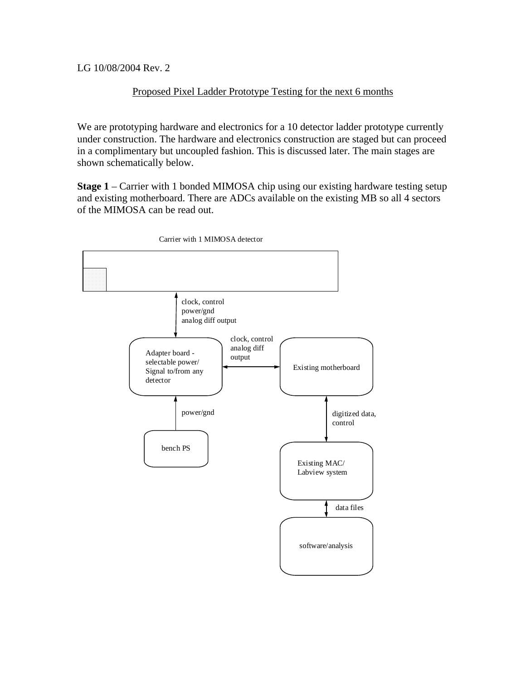LG 10/08/2004 Rev. 2

## Proposed Pixel Ladder Prototype Testing for the next 6 months

We are prototyping hardware and electronics for a 10 detector ladder prototype currently under construction. The hardware and electronics construction are staged but can proceed in a complimentary but uncoupled fashion. This is discussed later. The main stages are shown schematically below.

**Stage 1** – Carrier with 1 bonded MIMOSA chip using our existing hardware testing setup and existing motherboard. There are ADCs available on the existing MB so all 4 sectors of the MIMOSA can be read out.

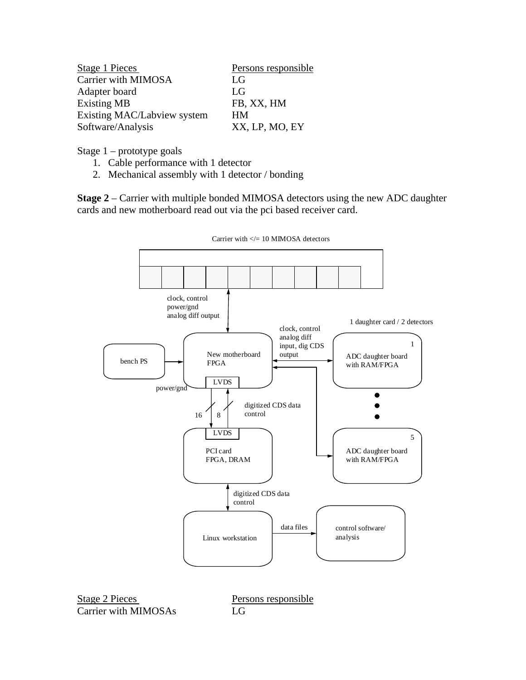| Stage 1 Pieces              | Persons responsible |
|-----------------------------|---------------------|
| Carrier with MIMOSA         | $L_G$               |
| Adapter board               | $L_G$               |
| <b>Existing MB</b>          | FB, XX, HM          |
| Existing MAC/Labview system | <b>HM</b>           |
| Software/Analysis           | XX, LP, MO, EY      |

Stage 1 – prototype goals

- 1. Cable performance with 1 detector
- 2. Mechanical assembly with 1 detector / bonding

**Stage 2** – Carrier with multiple bonded MIMOSA detectors using the new ADC daughter cards and new motherboard read out via the pci based receiver card.



Carrier with  $\leq$  = 10 MIMOSA detectors

Stage 2 Pieces Persons responsible Carrier with MIMOSAs LG